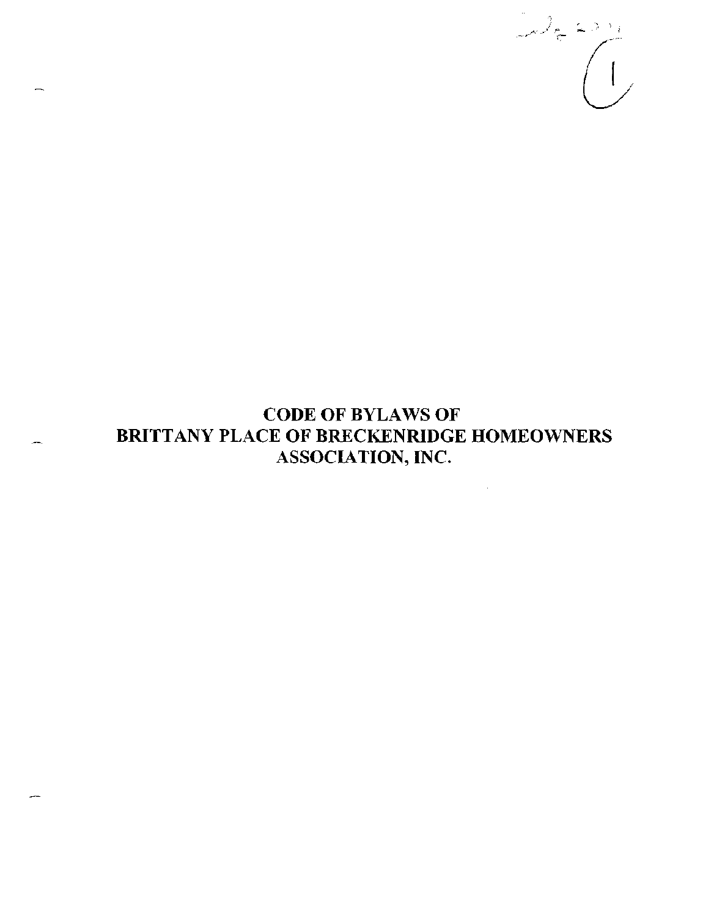

# CODE OF BYLAWS OF BRITTANY PLACE OF BRECKENRIDGE HOMEOWNERS ASSOCIATION, INC.

 $\sim 10$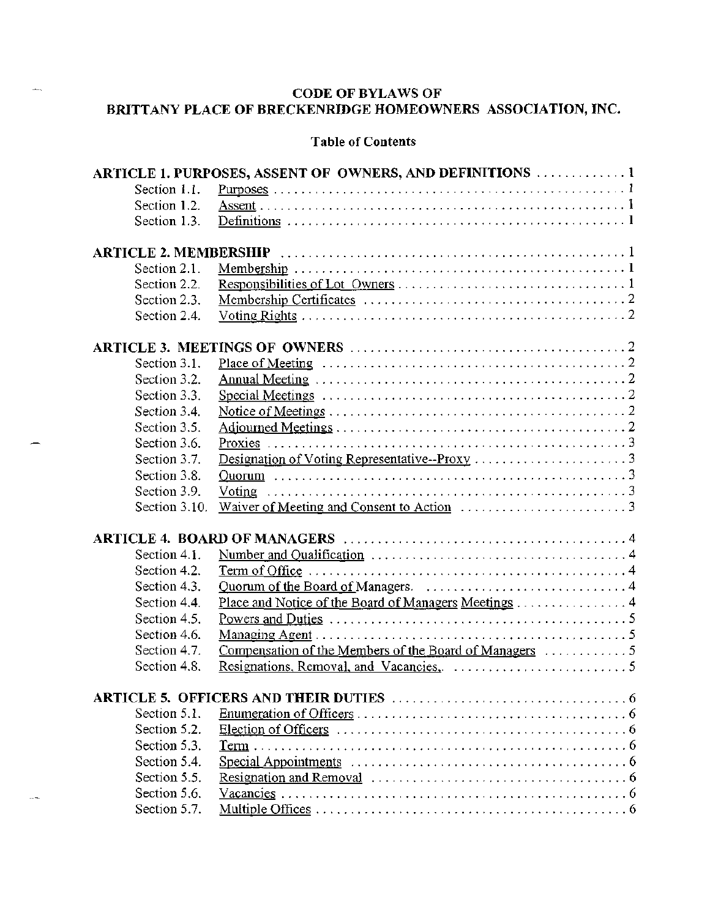# **CODE OF BYLAWS OF BRITTANY PLACE OF BRECKENRIDGE HOMEOWNERS ASSOCIATION, INC.**

 $\overline{a}$ 

 $\sim$ 

# **Table of Contents**

|               | ARTICLE 1. PURPOSES, ASSENT OF OWNERS, AND DEFINITIONS  1                                                        |
|---------------|------------------------------------------------------------------------------------------------------------------|
| Section 1.1.  |                                                                                                                  |
| Section 1.2.  |                                                                                                                  |
| Section 1.3.  |                                                                                                                  |
|               |                                                                                                                  |
|               |                                                                                                                  |
| Section 2.1.  |                                                                                                                  |
| Section 2.2.  |                                                                                                                  |
| Section 2.3.  |                                                                                                                  |
| Section 2.4.  |                                                                                                                  |
|               |                                                                                                                  |
|               |                                                                                                                  |
| Section 3.1.  |                                                                                                                  |
| Section 3.2.  |                                                                                                                  |
| Section 3.3.  |                                                                                                                  |
| Section 3.4.  |                                                                                                                  |
| Section 3.5.  |                                                                                                                  |
| Section 3.6.  |                                                                                                                  |
| Section 3.7.  |                                                                                                                  |
| Section 3.8.  |                                                                                                                  |
| Section 3.9.  |                                                                                                                  |
| Section 3.10. |                                                                                                                  |
|               |                                                                                                                  |
|               |                                                                                                                  |
| Section 4.1.  |                                                                                                                  |
| Section 4.2.  | $Term of Office \dots \dots \dots \dots \dots \dots \dots \dots \dots \dots \dots \dots \dots \dots \dots \dots$ |
| Section 4.3.  |                                                                                                                  |
| Section 4.4.  | Place and Notice of the Board of Managers Meetings 4                                                             |
| Section 4.5.  |                                                                                                                  |
| Section 4.6.  |                                                                                                                  |
| Section 4.7.  |                                                                                                                  |
| Section 4.8.  |                                                                                                                  |
|               |                                                                                                                  |
|               |                                                                                                                  |
| Section 5.1.  |                                                                                                                  |
| Section 5.2.  | Election of Officers $\dots \dots \dots \dots \dots \dots \dots \dots \dots \dots \dots \dots \dots \dots \dots$ |
| Section 5.3.  |                                                                                                                  |
| Section 5.4.  |                                                                                                                  |
| Section 5.5.  |                                                                                                                  |
| Section 5.6.  |                                                                                                                  |
| Section 5.7.  |                                                                                                                  |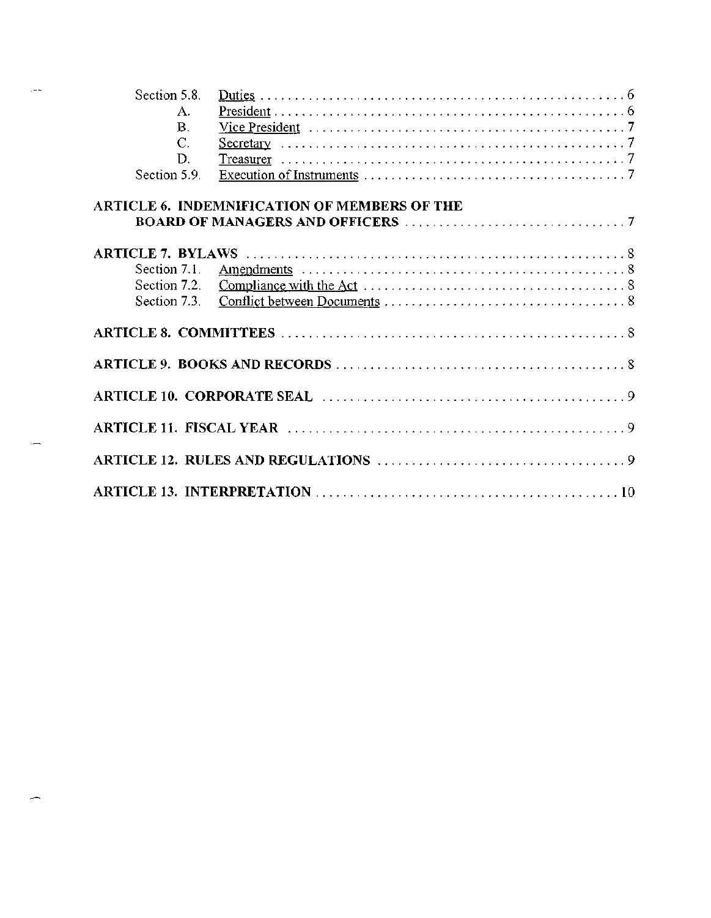| Section 5.8. |                                              |  |  |  |  |  |  |  |
|--------------|----------------------------------------------|--|--|--|--|--|--|--|
| А.           |                                              |  |  |  |  |  |  |  |
| В.           |                                              |  |  |  |  |  |  |  |
| C.           |                                              |  |  |  |  |  |  |  |
| D.           |                                              |  |  |  |  |  |  |  |
| Section 5.9. |                                              |  |  |  |  |  |  |  |
|              | ARTICLE 6. INDEMNIFICATION OF MEMBERS OF THE |  |  |  |  |  |  |  |
|              |                                              |  |  |  |  |  |  |  |
| Section 7.1. |                                              |  |  |  |  |  |  |  |
|              |                                              |  |  |  |  |  |  |  |
|              |                                              |  |  |  |  |  |  |  |
|              |                                              |  |  |  |  |  |  |  |
|              |                                              |  |  |  |  |  |  |  |
|              |                                              |  |  |  |  |  |  |  |
|              |                                              |  |  |  |  |  |  |  |
|              |                                              |  |  |  |  |  |  |  |
|              |                                              |  |  |  |  |  |  |  |

 $\mathbb{H} \to \mathbb{R}$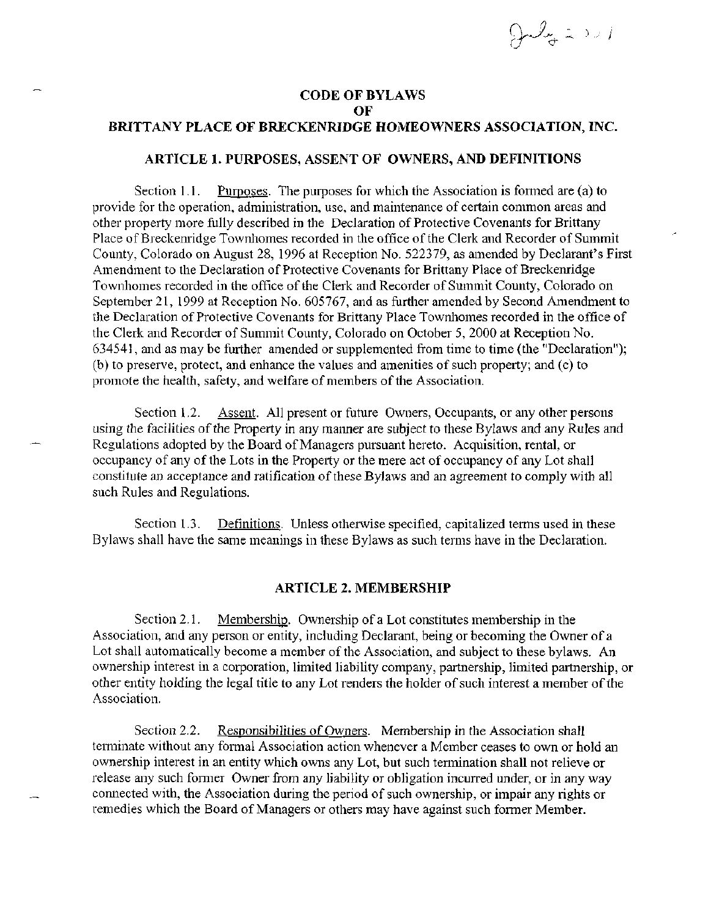$\partial \omega_{\sigma}$  is  $\omega$ 

## **CODE OF BYLAWS OF BRITTANY PLACE OF BRECKENRIDGE HOMEOWNERS ASSOCIATION, INC.**

#### **ARTICLE 1. PURPOSES,** ASSENT **OF OWNERS, AND DEFINITIONS**

Section 1.1. Purposes. The purposes for which the Association is formed are (a) to provide for the operation, administration, use, and maintenance of certain common areas and other property more fully described in the Declaration of Protective Covenants for Brittany Place of Breckenridge Townhomes recorded in the office of the Clerk and Recorder of Summit County, Colorado on August 28, 1996 at Reception No. 522379, as amended by Declarant's First Amendment to the Declaration of Protective Covenants for Brittany Place of Breckenridge Townhomes recorded in the office of the Clerk and Recorder of Summit County, Colorado on September 21, 1999 at Reception No. 605767, and as further amended by Second Amendment to the Declaration of Protective Covenants for Brittany Place Townhomes recorded in the office of the Clerk and Recorder of Summit County, Colorado on October 5, 2000 at Reception No. 634541, and as may be further amended or supplemented from time to time (the "Declaration"); (b) to preserve, protect, and enhance the values and amenities of such property; and (c) to promote the health, safety, and welfare of members of the Association.

Section 1.2. Assent. All present or future Owners, Occupants, or any other persons using the facilities of the Property in any manner are subject to these Bylaws and any Rules and Regulations adopted by the Board of Managers pursuant hereto. Acquisition, rental, or occupancy of any of the Lots in the Property or the mere act of occupancy of any Lot shall constitute an acceptance and ratification of these Bylaws and an agreement to comply with all such Rules and Regulations.

Section 1.3. Definitions. Unless otherwise specified, capitalized terms used in these Bylaws shall have the same meanings in these Bylaws as such terms have in the Declaration.

#### **ARTICLE 2. MEMBERSHIP**

Section 2.1. Membership. Ownership of a Lot constitutes membership in the Association, and any person or entity, including Declarant, being or becoming the Owner of a Lot shall automatically become a member of the Association, and subject to these bylaws. An ownership interest in a corporation, limited liability company, partnership, limited partnership, or other entity holding the legal title to any Lot renders the holder of such interest a member of the Association.

Section 2.2. Responsibilities of Owners. Membership in the Association shall terminate without any formal Association action whenever a Member ceases to own or hold an ownership interest in an entity which owns any Lot, but such termination shall not relieve or release any such former Owner from any liability or obligation incurred under, or in any way connected with, the Association during the period of such ownership, or impair any rights or remedies which the Board of Managers or others may have against such former Member.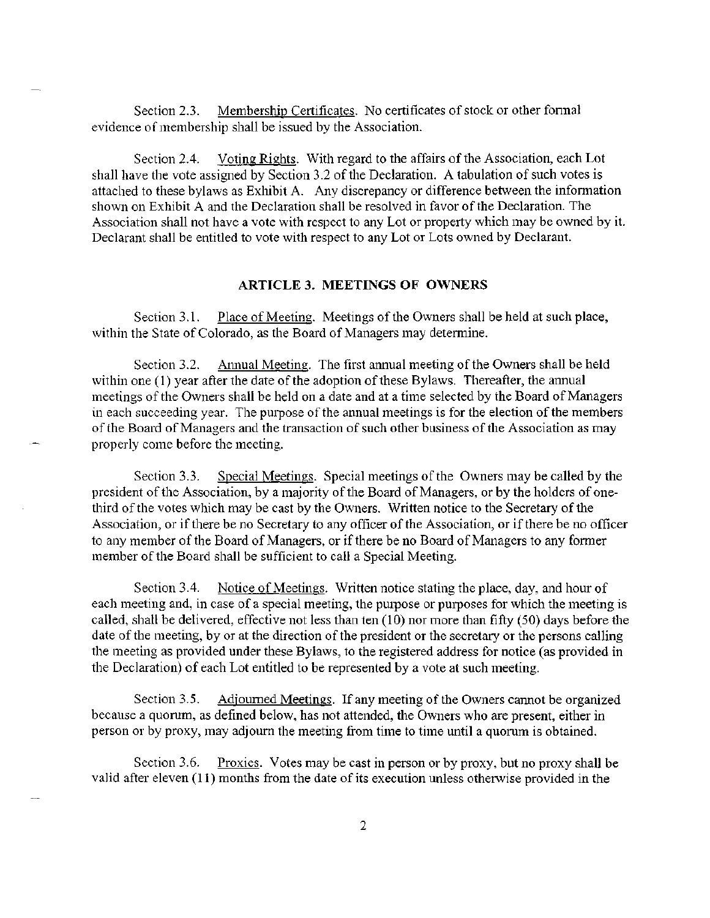Section 2.3. Membership Certificates. No certificates of stock or other formal evidence of membership shall be issued by the Association.

Section 2.4. Voting Rights. With regard to the affairs of the Association, each Lot shall have the vote assigned by Section 3.2 of the Declaration. A tabulation of such votes is attached to these bylaws as Exhibit A. Any discrepancy or difference between the information shown on Exhibit A and the Declaration shall be resolved in favor of the Declaration. The Association shall not have a vote with respect to any Lot or property which may be owned by it. Declarant shall be entitled to vote with respect to any Lot or Lots owned by Declarant.

#### **ARTICLE 3. MEETINGS OF OWNERS**

Section 3.1. Place of Meeting. Meetings of the Owners shall be held at such place, within the State of Colorado, as the Board of Managers may determine.

Section 3.2. Annual Meeting. The first annual meeting of the Owners shall be held within one (1) year after the date of the adoption of these Bylaws. Thereafter, the annual meetings of the Owners shall be held on a date and at a time selected by the Board of Managers in each succeeding year. The purpose of the annual meetings is for the election of the members of the Board of Managers and the transaction of such other business of the Association as may properly come before the meeting.

Section 3.3. Special Meetings. Special meetings of the Owners may be called by the president of the Association, by a majority of the Board of Managers, or by the holders of onethird of the votes which may be cast by the Owners. Written notice to the Secretary of the Association, or if there be no Secretary to any officer of the Association, or if there be no officer to any member of the Board of Managers, or if there be no Board of Managers to any former member of the Board shall be sufficient to call a Special Meeting.

Section 3.4. Notice of Meetings. Written notice stating the place, day, and hour of each meeting and, in case of a special meeting, the purpose or purposes for which the meeting is called, shall be delivered, effective not less than ten (10) nor more than fifty (50) days before the date of the meeting, by or at the direction of the president or the secretary or the persons calling the meeting as provided under these Bylaws, to the registered address for notice (as provided in the Declaration) of each Lot entitled to be represented by a vote at such meeting.

Section 3.5. Adjourned Meetings. If any meeting of the Owners cannot be organized because a quorum, as defined below, has not attended, the Owners who are present, either in person or by proxy, may adjourn the meeting from time to time until a quorum is obtained.

Section 3.6. Proxies. Votes may be cast in person or by proxy, but no proxy shall be valid after eleven (11) months from the date of its execution unless otherwise provided in the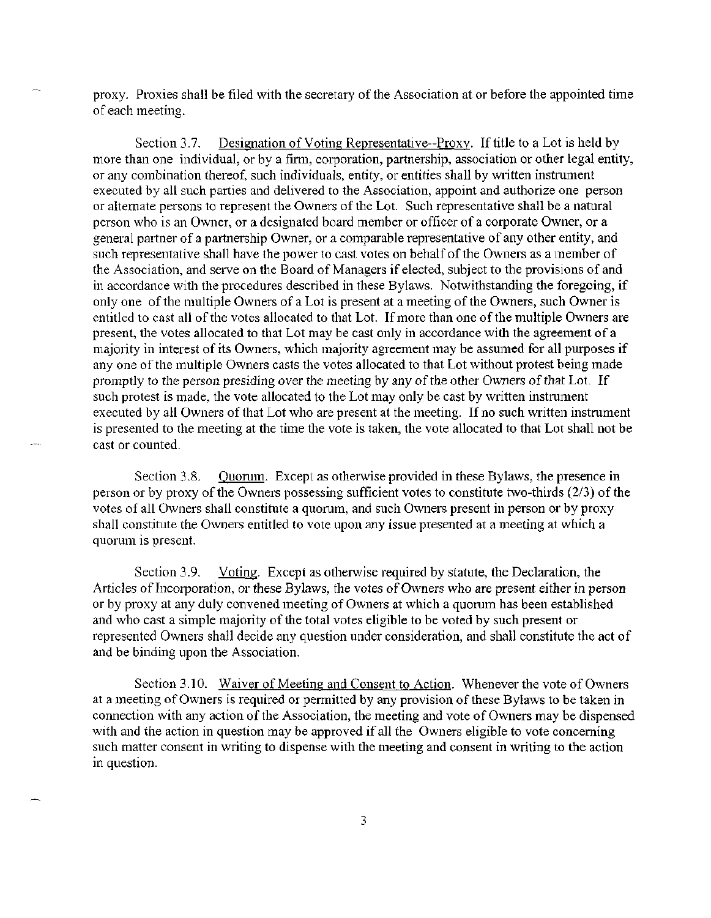proxy. Proxies shall be filed with the secretary of the Association at or before the appointed time of each meeting.

Section 3.7. Designation of Voting Representative—Proxy. If title to a Lot is held by more than one individual, or by a firm, corporation, partnership, association or other legal entity, or any combination thereof, such individuals, entity, or entities shall by written instrument executed by all such parties and delivered to the Association, appoint and authorize one person or alternate persons to represent the Owners of the Lot. Such representative shall be a natural person who is an Owner, or a designated board member or officer of a corporate Owner, or a general partner of a partnership Owner, or a comparable representative of any other entity, and such representative shall have the power to cast votes on behalf of the Owners as a member of the Association, and serve on the Board of Managers if elected, subject to the provisions of and in accordance with the procedures described in these Bylaws. Notwithstanding the foregoing, if only one of the multiple Owners of a Lot is present at a meeting of the Owners, such Owner is entitled to cast all of the votes allocated to that Lot. If more than one of the multiple Owners are present, the votes allocated to that Lot may be cast only in accordance with the agreement of a majority in interest of its Owners, which majority agreement may be assumed for all purposes if any one of the multiple Owners casts the votes allocated to that Lot without protest being made promptly to the person presiding over the meeting by any of the other Owners of that Lot. If such protest is made, the vote allocated to the Lot may only be cast by written instrument executed by all Owners of that Lot who are present at the meeting. If no such written instrument is presented to the meeting at the time the vote is taken, the vote allocated to that Lot shall not be cast or counted.

Section 3.8. Quorum. Except as otherwise provided in these Bylaws, the presence in person or by proxy of the Owners possessing sufficient votes to constitute two-thirds (2/3) of the votes of all Owners shall constitute a quorum, and such Owners present in person or by proxy shall constitute the Owners entitled to vote upon any issue presented at a meeting at which a quorum is present.

Section 3.9. Voting. Except as otherwise required by statute, the Declaration, the Articles of Incorporation, or these Bylaws, the votes of Owners who are present either in person or by proxy at any duly convened meeting of Owners at which a quorum has been established and who cast a simple majority of the total votes eligible to be voted by such present or represented Owners shall decide any question under consideration, and shall constitute the act of and be binding upon the Association.

Section 3.10. Waiver of Meeting and Consent to Action. Whenever the vote of Owners at a meeting of Owners is required or permitted by any provision of these Bylaws to be taken in connection with any action of the Association, the meeting and vote of Owners may be dispensed with and the action in question may be approved if all the Owners eligible to vote concerning such matter consent in writing to dispense with the meeting and consent in writing to the action in question.

3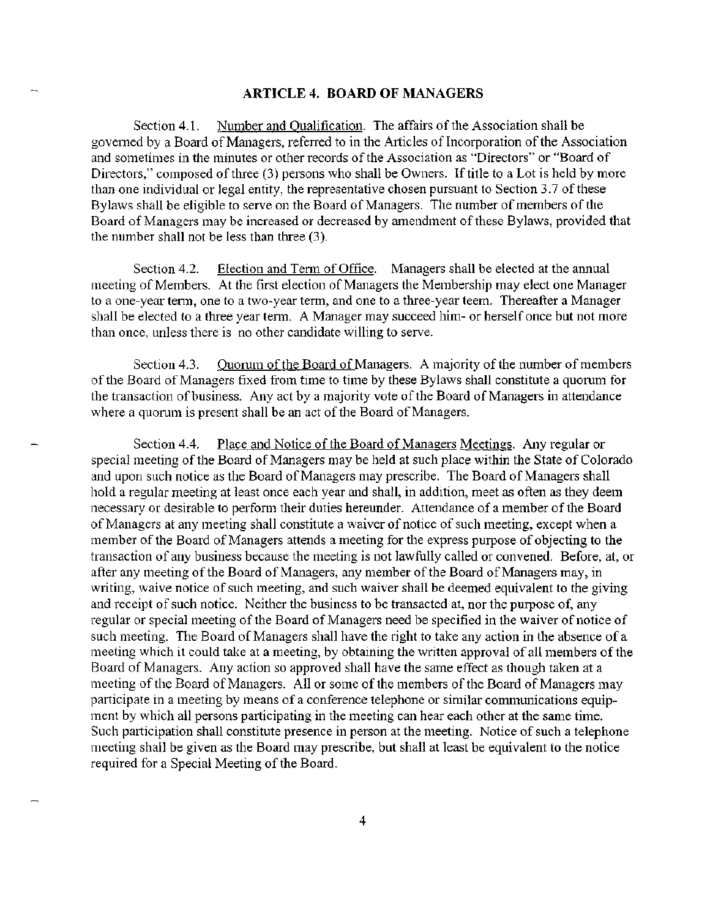#### ARTICLE 4. BOARD OF MANAGERS

Section 4.1. Number and Qualification. The affairs of the Association shall be governed by a Board of Managers, referred to in the Articles of Incorporation of the Association and sometimes in the minutes or other records of the Association as "Directors" or "Board of Directors," composed of three (3) persons who shall be Owners. If title to a Lot is held by more than one individual or legal entity, the representative chosen pursuant to Section 3.7 of these Bylaws shall be eligible to serve on the Board of Managers. The number of members of the Board of Managers may be increased or decreased by amendment of these Bylaws, provided that the number shall not be less than three (3).

Section 4.2. Election and Term of Office. Managers shall be elected at the annual meeting of Members. At the first election of Managers the Membership may elect one Manager to a one-year term, one to a two-year term, and one to a three-year teem. Thereafter a Manager shall be elected to a three year term. A Manager may succeed him- or herself once but not more than once, unless there is no other candidate willing to serve.

Section 4.3. Quorum of the Board of Managers. A majority of the number of members of the Board of Managers fixed from time to time by these Bylaws shall constitute a quorum for the transaction of business. Any act by a majority vote of the Board of Managers in attendance where a quorum is present shall be an act of the Board of Managers.

Section 4.4. Place and Notice of the Board of Managers Meetings. Any regular or special meeting of the Board of Managers may be held at such place within the State of Colorado and upon such notice as the Board of Managers may prescribe. The Board of Managers shall hold a regular meeting at least once each year and shall, in addition, meet as often as they deem necessary or desirable to perform their duties hereunder. Attendance of a member of the Board of Managers at any meeting shall constitute a waiver of notice of such meeting, except when a member of the Board of Managers attends a meeting for the express purpose of objecting to the transaction of any business because the meeting is not lawfully called or convened. Before, at, or after any meeting of the Board of Managers, any member of the Board of Managers may, in writing, waive notice of such meeting, and such waiver shall be deemed equivalent to the giving and receipt of such notice. Neither the business to be transacted at, nor the purpose of, any regular or special meeting of the Board of Managers need be specified in the waiver of notice of such meeting. The Board of Managers shall have the right to take any action in the absence of a meeting which it could take at a meeting, by obtaining the written approval of all members of the Board of Managers. Any action so approved shall have the same effect as though taken at a meeting of the Board of Managers. All or some of the members of the Board of Managers may participate in a meeting by means of a conference telephone or similar communications equipment by which all persons participating in the meeting can hear each other at the same time. Such participation shall constitute presence in person at the meeting. Notice of such a telephone meeting shall be given as the Board may prescribe, but shall at least be equivalent to the notice required for a Special Meeting of the Board.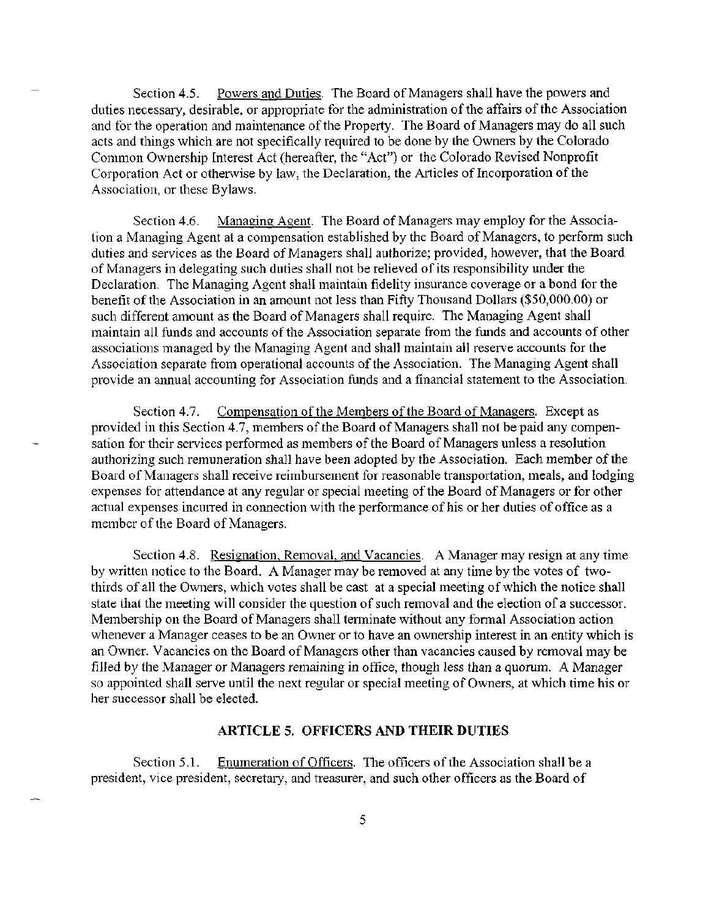Section 4.5. Powers and Duties. The Board of Managers shall have the powers and duties necessary, desirable, or appropriate for the administration of the affairs of the Association and for the operation and maintenance of the Property. The Board of Managers may do all such acts and things which are not specifically required to be done by the Owners by the Colorado Common Ownership Interest Act (hereafter, the "Act") or the Colorado Revised Nonprofit Corporation Act or otherwise by law, the Declaration, the Articles of Incorporation of the Association, or these Bylaws.

Section 4.6. Managing Agent. The Board of Managers may employ for the Association a Managing Agent at a compensation established by the Board of Managers, to perform such duties and services as the Board of Managers shall authorize; provided, however, that the Board of Managers in delegating such duties shall not be relieved of its responsibility under the Declaration. The Managing Agent shall maintain fidelity insurance coverage or a bond for the benefit of the Association in an amount not less than Fifty Thousand Dollars (\$50,000.00) or such different amount as the Board of Managers shall require. The Managing Agent shall maintain all funds and accounts of the Association separate from the funds and accounts of other associations managed by the Managing Agent and shall maintain all reserve accounts for the Association separate from operational accounts of the Association. The Managing Agent shall provide an annual accounting for Association funds and a financial statement to the Association.

Section 4.7. Compensation of the Members of the Board of Managers. Except as provided in this Section 4.7, members of the Board of Managers shall not be paid any compensation for their services performed as members of the Board of Managers unless a resolution authorizing such remuneration shall have been adopted by the Association. Each member of the Board of Managers shall receive reimbursement for reasonable transportation, meals, and lodging expenses for attendance at any regular or special meeting of the Board of Managers or for other actual expenses incurred in connection with the performance of his or her duties of office as a member of the Board of Managers.

Section 4.8. Resignation, Removal, and Vacancies. A Manager may resign at any time by written notice to the Board. A Manager may be removed at any time by the votes of twothirds of all the Owners, which votes shall be cast at a special meeting of which the notice shall state that the meeting will consider the question of such removal and the election of a successor. Membership on the Board of Managers shall terminate without any formal Association action whenever a Manager ceases to be an Owner or to have an ownership interest in an entity which is an Owner. Vacancies on the Board of Managers other than vacancies caused by removal may be filled by the Manager or Managers remaining in office, though less than a quorum. A Manager so appointed shall serve until the next regular or special meeting of Owners, at which time his or her successor shall be elected.

## **ARTICLE 5. OFFICERS AND THEIR DUTIES**

Section 5.1. Enumeration of Officers. The officers of the Association shall be a president, vice president, secretary, and treasurer, and such other officers as the Board of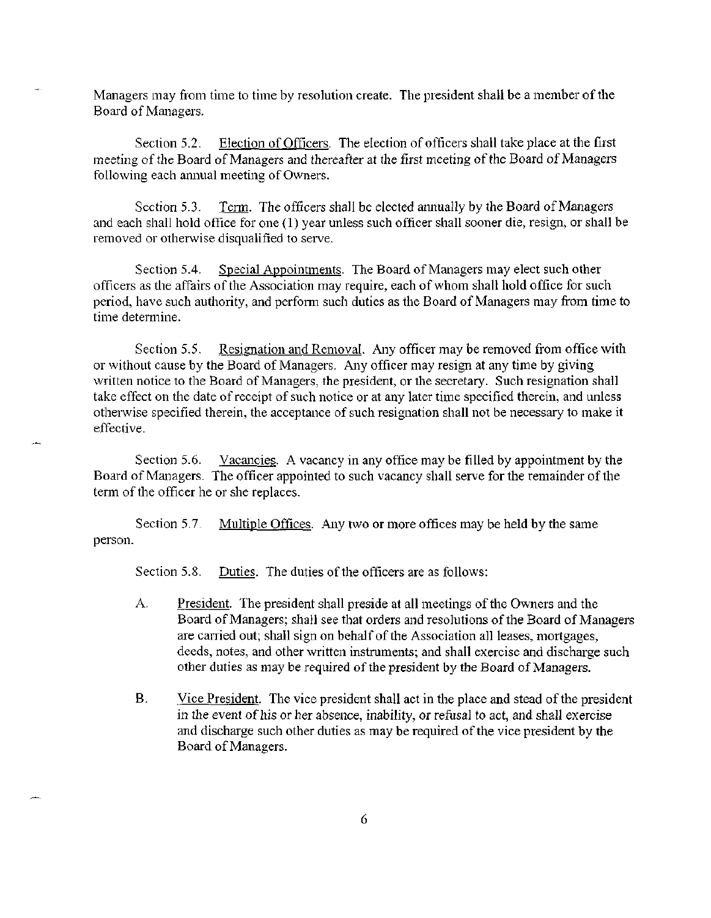Managers may from time to time by resolution create. The president shall be a member of the Board of Managers.

Section 5.2. Election of Officers. The election of officers shall take place at the first meeting of the Board of Managers and thereafter at the first meeting of the Board of Managers following each annual meeting of Owners.

Section 5.3. Term. The officers shall be elected annually by the Board of Managers and each shall hold office for one (1) year unless such officer shall sooner die, resign, or shall be removed or otherwise disqualified to serve.

Section 5.4. Special Appointments. The Board of Managers may elect such other officers as the affairs of the Association may require, each of whom shall hold office for such period, have such authority, and perform such duties as the Board of Managers may from time to time determine.

Section 5.5. Resignation and Removal. Any officer may be removed from office with or without cause by the Board of Managers. Any officer may resign at any time by giving written notice to the Board of Managers, the president, or the secretary. Such resignation shall take effect on the date of receipt of such notice or at any later time specified therein, and unless otherwise specified therein, the acceptance of such resignation shall not be necessary to make it effective.

Section 5.6. Vacancies. A vacancy in any office may be filled by appointment by the Board of Managers. The officer appointed to such vacancy shall serve for the remainder of the term of the officer he or she replaces.

Section 5.7. Multiple Offices. Any two or more offices may be held by the same person.

Section 5.8. Duties. The duties of the officers are as follows:

- A. President. The president shall preside at all meetings of the Owners and the Board of Managers; shall see that orders and resolutions of the Board of Managers are carried out; shall sign on behalf of the Association all leases, mortgages, deeds, notes, and other written instruments; and shall exercise and discharge such other duties as may be required of the president by the Board of Managers.
- B. Vice President. The vice president shall act in the place and stead of the president in the event of his or her absence, inability, or refusal to act, and shall exercise and discharge such other duties as may be required of the vice president by the Board of Managers.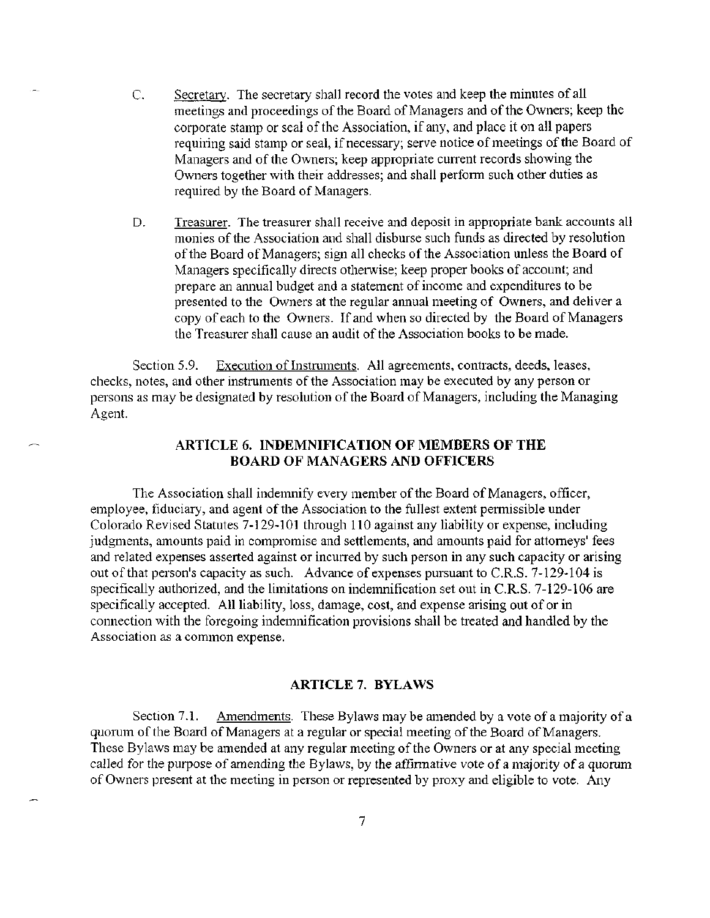- C. Secretary. The secretary shall record the votes and keep the minutes of all meetings and proceedings of the Board of Managers and of the Owners; keep the corporate stamp or seal of the Association, if any, and place it on all papers requiring said stamp or seal, if necessary; serve notice of meetings of the Board of Managers and of the Owners; keep appropriate current records showing the Owners together with their addresses; and shall perform such other duties as required by the Board of Managers.
- D. Treasurer. The treasurer shall receive and deposit in appropriate bank accounts all monies of the Association and shall disburse such funds as directed by resolution of the Board of Managers; sign all checks of the Association unless the Board of Managers specifically directs otherwise; keep proper books of account; and prepare an annual budget and a statement of income and expenditures to be presented to the Owners at the regular annual meeting of Owners, and deliver a copy of each to the Owners. If and when so directed by the Board of Managers the Treasurer shall cause an audit of the Association books to be made.

Section 5.9. Execution of Instruments. All agreements, contracts, deeds, leases, checks, notes, and other instruments of the Association may be executed by any person or persons as may be designated by resolution of the Board of Managers, including the Managing Agent.

## **ARTICLE 6. INDEMNIFICATION OF MEMBERS OF THE BOARD OF MANAGERS AND OFFICERS**

The Association shall indemnify every member of the Board of Managers, officer, employee, fiduciary, and agent of the Association to the fullest extent permissible under Colorado Revised Statutes 7-129-101 through 110 against any liability or expense, including judgments, amounts paid in compromise and settlements, and amounts paid for attorneys' fees and related expenses asserted against or incurred by such person in any such capacity or arising out of that person's capacity as such. Advance of expenses pursuant to C.R.S. 7-129-104 is specifically authorized, and the limitations on indemnification set out in C.R.S. 7-129-106 are specifically accepted. All liability, loss, damage, cost, and expense arising out of or in connection with the foregoing indemnification provisions shall be treated and handled by the Association as a common expense.

## **ARTICLE?. BYLAWS**

Section 7.1. Amendments. These Bylaws may be amended by a vote of a majority of a quorum of the Board of Managers at a regular or special meeting of the Board of Managers. These Bylaws may be amended at any regular meeting of the Owners or at any special meeting called for the purpose of amending the Bylaws, by the affirmative vote of a majority of a quorum of Owners present at the meeting in person or represented by proxy and eligible to vote. Any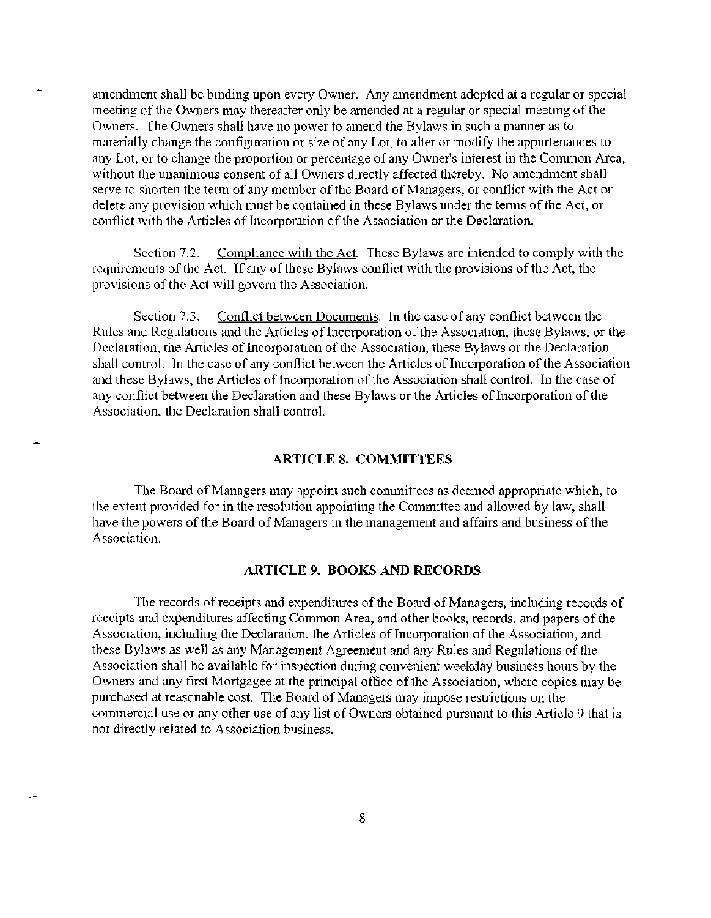amendment shall be binding upon every Owner. Any amendment adopted at a regular or special meeting of the Owners may thereafter only be amended at a regular or special meeting of the Owners. The Owners shall have no power to amend the Bylaws in such a manner as to materially change the configuration or size of any Lot, to alter or modify the appurtenances to any Lot, or to change the proportion or percentage of any Owner's interest in the Common Area, without the unanimous consent of all Owners directly affected thereby. No amendment shall serve to shorten the term of any member of the Board of Managers, or conflict with the Act or delete any provision which must be contained in these Bylaws under the terms of the Act, or conflict with the Articles of Incorporation of the Association or the Declaration.

Section 7.2. Compliance with the Act. These Bylaws are intended to comply with the requirements of the Act. If any of these Bylaws conflict with the provisions of the Act, the provisions of the Act will govern the Association.

Section 7.3. Conflict between Documents. In the case of any conflict between the Rules and Regulations and the Articles of Incorporation of the Association, these Bylaws, or the Declaration, the Articles of Incorporation of the Association, these Bylaws or the Declaration shall control. In the case of any conflict between the Articles of Incorporation of the Association and these Bylaws, the Articles of Incorporation of the Association shall control. In the case of any conflict between the Declaration and these Bylaws or the Articles of Incorporation of the Association, the Declaration shall control.

## **ARTICLES. COMMITTEES**

The Board of Managers may appoint such committees as deemed appropriate which, to the extent provided for in the resolution appointing the Committee and allowed by law, shall have the powers of the Board of Managers in the management and affairs and business of the Association.

#### **ARTICLE 9. BOOKS AND RECORDS**

The records of receipts and expenditures of the Board of Managers, including records of receipts and expenditures affecting Common Area, and other books, records, and papers of the Association, including the Declaration, the Articles of Incorporation of the Association, and these Bylaws as well as any Management Agreement and any Rules and Regulations of the Association shall be available for inspection during convenient weekday business hours by the Owners and any first Mortgagee at the principal office of the Association, where copies may be purchased at reasonable cost. The Board of Managers may impose restrictions on the commercial use or any other use of any list of Owners obtained pursuant to this Article 9 that is not directly related to Association business.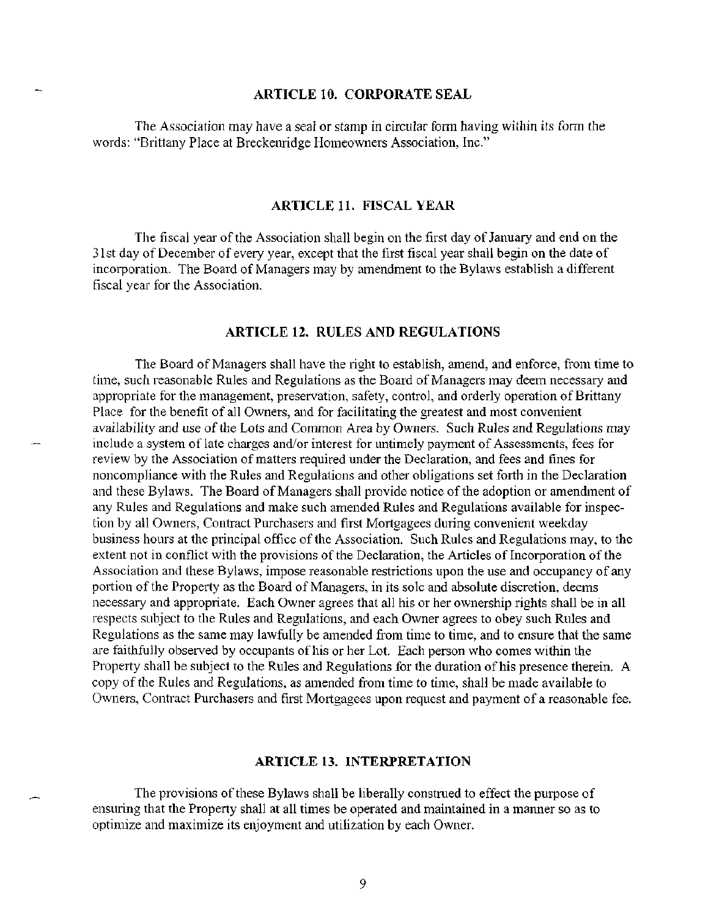## **ARTICLE 10. CORPORATE SEAL**

The Association may have a seal or stamp in circular form having within its form the words: "Brittany Place at Breckenridge Homeowners Association, Inc."

### **ARTICLE 11. FISCAL YEAR**

The fiscal year of the Association shall begin on the first day of January and end on the 31st day of December of every year, except that the first fiscal year shall begin on the date of incorporation. The Board of Managers may by amendment to the Bylaws establish a different fiscal year for the Association.

#### **ARTICLE 12. RULES AND REGULATIONS**

The Board of Managers shall have the right to establish, amend, and enforce, from time to time, such reasonable Rules and Regulations as the Board of Managers may deem necessary and appropriate for the management, preservation, safety, control, and orderly operation of Brittany Place for the benefit of all Owners, and for facilitating the greatest and most convenient availability and use of the Lots and Common Area by Owners. Such Rules and Regulations may include a system of late charges and/or interest for untimely payment of Assessments, fees for review by the Association of matters required under the Declaration, and fees and fines for noncompliance with the Rules and Regulations and other obligations set forth in the Declaration and these Bylaws. The Board of Managers shall provide notice of the adoption or amendment of any Rules and Regulations and make such amended Rules and Regulations available for inspection by all Owners, Contract Purchasers and first Mortgagees during convenient weekday business hours at the principal office of the Association. Such Rules and Regulations may, to the extent not in conflict with the provisions of the Declaration, the Articles of Incorporation of the Association and these Bylaws, impose reasonable restrictions upon the use and occupancy of any portion of the Property as the Board of Managers, in its sole and absolute discretion, deems necessary and appropriate. Each Owner agrees that all his or her ownership rights shall be in all respects subject to the Rules and Regulations, and each Owner agrees to obey such Rules and Regulations as the same may lawfully be amended from time to time, and to ensure that the same are faithfully observed by occupants of his or her Lot. Each person who comes within the Property shall be subject to the Rules and Regulations for the duration of his presence therein. A copy of the Rules and Regulations, as amended from time to time, shall be made available to Owners, Contract Purchasers and first Mortgagees upon request and payment of a reasonable fee.

## **ARTICLE 13. INTERPRETATION**

The provisions of these Bylaws shall be liberally construed to effect the purpose of ensuring that the Property shall at all times be operated and maintained in a manner so as to optimize and maximize its enjoyment and utilization by each Owner.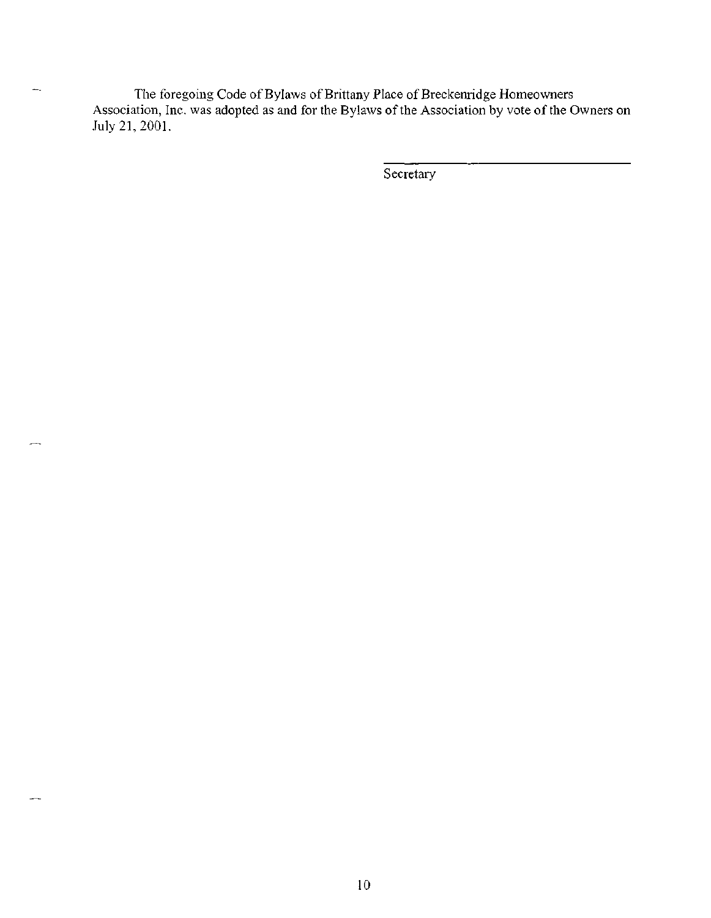The foregoing Code of Bylaws of Brittany Place of Breckenridge Homeowners Association, Inc. was adopted as and for the Bylaws of the Association by vote of the Owners on July 21,2001.

 $\overline{\phantom{a}}$ 

÷.

Secretary